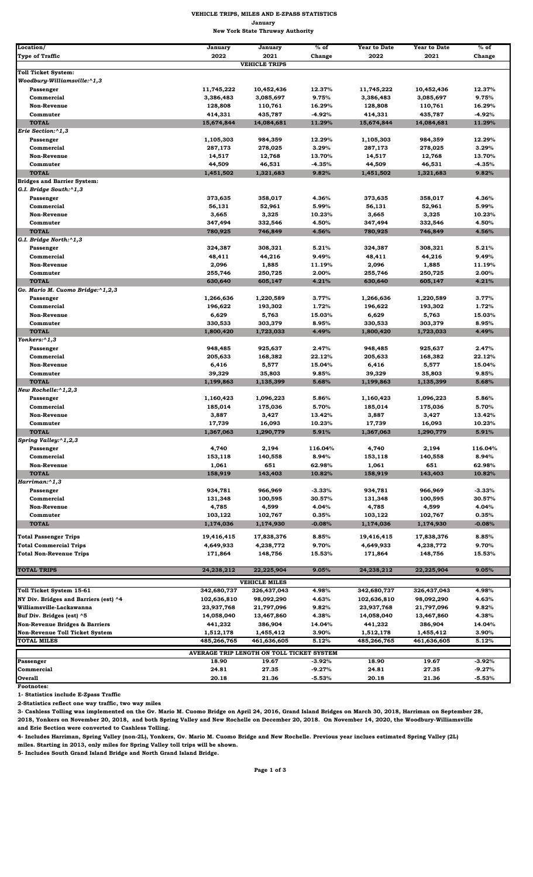| Location/                             | January             | January              | $%$ of          | <b>Year to Date</b> | <b>Year to Date</b> | $%$ of          |
|---------------------------------------|---------------------|----------------------|-----------------|---------------------|---------------------|-----------------|
| <b>Type of Traffic</b>                | 2022                | 2021                 | Change          | 2022                | 2021                | Change          |
|                                       |                     | <b>VEHICLE TRIPS</b> |                 |                     |                     |                 |
| <b>Toll Ticket System:</b>            |                     |                      |                 |                     |                     |                 |
| Woodbury-Williamsville:^1,3           |                     |                      |                 |                     |                     |                 |
| Passenger                             | 11,745,222          | 10,452,436           | 12.37%          | 11,745,222          | 10,452,436          | 12.37%          |
| Commercial                            | 3,386,483           | 3,085,697            | 9.75%           | 3,386,483           | 3,085,697           | 9.75%           |
| <b>Non-Revenue</b>                    | 128,808             | 110,761              | 16.29%          | 128,808             | 110,761             | 16.29%          |
| Commuter                              | 414,331             | 435,787              | $-4.92%$        | 414,331             | 435,787             | $-4.92%$        |
| <b>TOTAL</b><br>Erie Section:^1,3     | 15,674,844          | 14,084,681           | 11.29%          | 15,674,844          | 14,084,681          | 11.29%          |
|                                       | 1,105,303           | 984,359              | 12.29%          | 1,105,303           | 984,359             | 12.29%          |
| Passenger<br>Commercial               | 287,173             | 278,025              | 3.29%           | 287,173             | 278,025             | 3.29%           |
| <b>Non-Revenue</b>                    | 14,517              | 12,768               | 13.70%          | 14,517              | 12,768              | 13.70%          |
| Commuter                              | 44,509              | 46,531               | $-4.35%$        | 44,509              | 46,531              | $-4.35%$        |
| <b>TOTAL</b>                          | 1,451,502           | 1,321,683            | 9.82%           | 1,451,502           | 1,321,683           | 9.82%           |
| <b>Bridges and Barrier System:</b>    |                     |                      |                 |                     |                     |                 |
| G.I. Bridge South:^1,3                |                     |                      |                 |                     |                     |                 |
| Passenger                             | 373,635             | 358,017              | 4.36%           | 373,635             | 358,017             | 4.36%           |
| Commercial                            | 56,131              | 52,961               | 5.99%           | 56,131              | 52,961              | 5.99%           |
| <b>Non-Revenue</b>                    | 3,665               | 3,325                | 10.23%          | 3,665               | 3,325               | 10.23%          |
| Commuter                              | 347,494             | 332,546              | 4.50%           | 347,494             | 332,546             | 4.50%           |
| <b>TOTAL</b>                          | 780,925             | 746,849              | 4.56%           | 780,925             | 746,849             | 4.56%           |
| G.I. Bridge North:^1,3                |                     |                      |                 |                     |                     |                 |
| Passenger                             | 324,387             | 308,321              | 5.21%           | 324,387             | 308,321             | 5.21%           |
| Commercial                            | 48,411              | 44,216               | 9.49%           | 48,411              | 44,216              | 9.49%           |
| <b>Non-Revenue</b>                    | 2,096               | 1,885                | 11.19%          | 2,096               | 1,885               | 11.19%          |
| Commuter                              | 255,746             | 250,725              | 2.00%           | 255,746             | 250,725             | 2.00%           |
| <b>TOTAL</b>                          | 630,640             | 605,147              | 4.21%           | 630,640             | 605,147             | 4.21%           |
| Gv. Mario M. Cuomo Bridge:^1,2,3      |                     |                      |                 |                     |                     |                 |
| Passenger                             | 1,266,636           | 1,220,589            | 3.77%           | 1,266,636           | 1,220,589           | 3.77%           |
| Commercial                            | 196,622             | 193,302              | 1.72%           | 196,622             | 193,302             | 1.72%           |
| <b>Non-Revenue</b>                    | 6,629               | 5,763                | 15.03%          | 6,629               | 5,763               | 15.03%          |
| Commuter                              | 330,533             | 303,379              | 8.95%           | 330,533             | 303,379             | 8.95%           |
| <b>TOTAL</b>                          | 1,800,420           | 1,723,033            | 4.49%           | 1,800,420           | 1,723,033           | 4.49%           |
| Yonkers:^1,3                          |                     |                      |                 |                     |                     |                 |
| Passenger                             | 948,485             | 925,637              | 2.47%           | 948,485             | 925,637             | 2.47%           |
| Commercial                            | 205,633             | 168,382              | 22.12%          | 205,633             | 168,382             | 22.12%          |
| <b>Non-Revenue</b>                    | 6,416               | 5,577                | 15.04%          | 6,416               | 5,577               | 15.04%          |
| Commuter                              | 39,329              | 35,803               | 9.85%           | 39,329              | 35,803              | 9.85%           |
| <b>TOTAL</b>                          | 1,199,863           | 1,135,399            | 5.68%           | 1,199,863           | 1,135,399           | 5.68%           |
| New Rochelle:^1,2,3                   |                     |                      |                 |                     |                     |                 |
| Passenger                             | 1,160,423           | 1,096,223            | 5.86%           | 1,160,423           | 1,096,223           | 5.86%           |
| Commercial                            | 185,014             | 175,036              | 5.70%           | 185,014             | 175,036             | 5.70%           |
| Non-Revenue                           | 3,887               | 3,427                | 13.42%          | 3,887               | 3,427               | 13.42%          |
| Commuter<br><b>TOTAL</b>              | 17,739<br>1,367,063 | 16,093<br>1,290,779  | 10.23%<br>5.91% | 17,739              | 16,093<br>1,290,779 | 10.23%<br>5.91% |
| Spring Valley:^1,2,3                  |                     |                      |                 | 1,367,063           |                     |                 |
| Passenger                             | 4,740               | 2,194                | 116.04%         | 4,740               | 2,194               | 116.04%         |
| Commercial                            | 153,118             | 140,558              | 8.94%           | 153,118             | 140,558             | 8.94%           |
| <b>Non-Revenue</b>                    | 1,061               | 651                  | 62.98%          | 1,061               | 651                 | 62.98%          |
| <b>TOTAL</b>                          | 158,919             | 143,403              | 10.82%          | 158,919             | 143,403             | 10.82%          |
| Harriman:^1,3                         |                     |                      |                 |                     |                     |                 |
| Passenger                             | 934,781             | 966,969              | $-3.33%$        | 934,781             | 966,969             | $-3.33%$        |
| Commercial                            | 131,348             | 100,595              | 30.57%          | 131,348             | 100,595             | 30.57%          |
| <b>Non-Revenue</b>                    | 4,785               | 4,599                | 4.04%           | 4,785               | 4,599               | 4.04%           |
| Commuter                              | 103,122             | 102,767              | 0.35%           | 103,122             | 102,767             | 0.35%           |
| <b>TOTAL</b>                          | 1,174,036           | 1,174,930            | $-0.08%$        | 1,174,036           | 1,174,930           | $-0.08%$        |
|                                       |                     |                      |                 |                     |                     |                 |
| <b>Total Passenger Trips</b>          | 19,416,415          | 17,838,376           | 8.85%           | 19,416,415          | 17,838,376          | 8.85%           |
| <b>Total Commercial Trips</b>         | 4,649,933           | 4,238,772            | 9.70%           | 4,649,933           | 4,238,772           | 9.70%           |
| <b>Total Non-Revenue Trips</b>        | 171,864             | 148,756              | 15.53%          | 171,864             | 148,756             | 15.53%          |
|                                       |                     |                      |                 |                     |                     |                 |
| <b>TOTAL TRIPS</b>                    | 24,238,212          | 22,225,904           | 9.05%           | 24,238,212          | 22,225,904          | 9.05%           |
|                                       |                     | <b>VEHICLE MILES</b> |                 |                     |                     |                 |
| Toll Ticket System 15-61              | 342,680,737         | 326,437,043          | 4.98%           | 342,680,737         | 326,437,043         | 4.98%           |
| NY Div. Bridges and Barriers (est) ^4 | 102,636,810         | 98,092,290           | 4.63%           | 102,636,810         | 98,092,290          | 4.63%           |
| Williamsville-Lackawanna              | 23,937,768          | 21,797,096           | 9.82%           | 23,937,768          | 21,797,096          | 9.82%           |
| Buf Div. Bridges (est) ^5             | 14,058,040          | 13,467,860           | 4.38%           | 14,058,040          | 13,467,860          | 4.38%           |
| Non-Revenue Bridges & Barriers        | 441.232             | 386,904              | 14.04%          | 441.232             | 386,904             | 14.04%          |

**Footnotes:** 

**1- Statistics include E-Zpass Traffic**

**2-Statistics reflect one way traffic, two way miles**

|                                           | -------     | ------      | - - - - - - - | .           | ------      | - - - - - - - |  |  |  |
|-------------------------------------------|-------------|-------------|---------------|-------------|-------------|---------------|--|--|--|
| Non-Revenue Toll Ticket System            | 1.512.178   | 1.455.412   | $3.90\%$      | 1,512,178   | 1.455.412   | 3.90%         |  |  |  |
| <b>TOTAL MILES</b>                        | 485,266,765 | 461.636.605 | 5.12%         | 485,266,765 | 461.636.605 | 5.12%         |  |  |  |
| AVERAGE TRIP LENGTH ON TOLL TICKET SYSTEM |             |             |               |             |             |               |  |  |  |
| Passenger                                 | 18.90       | 19.67       | $-3.92%$      | 18.90       | 19.67       | $-3.92%$      |  |  |  |
| <b>Commercial</b>                         | 24.81       | 27.35       | $-9.27\%$     | 24.81       | 27.35       | $-9.27%$      |  |  |  |
| Overall                                   | 20.18       | 21.36       | $-5.53%$      | 20.18       | 21.36       | $-5.53%$      |  |  |  |

**3- Cashless Tolling was implemented on the Gv. Mario M. Cuomo Bridge on April 24, 2016, Grand Island Bridges on March 30, 2018, Harriman on September 28, 2018, Yonkers on November 20, 2018, and both Spring Valley and New Rochelle on December 20, 2018. On November 14, 2020, the Woodbury-Williamsville and Erie Section were converted to Cashless Tolling.** 

**4- Includes Harriman, Spring Valley (non-2L), Yonkers, Gv. Mario M. Cuomo Bridge and New Rochelle. Previous year inclues estimated Spring Valley (2L)**

**miles. Starting in 2013, only miles for Spring Valley toll trips will be shown.**

**5- Includes South Grand Island Bridge and North Grand Island Bridge.**

**Page 1 of 3** 

## **VEHICLE TRIPS, MILES AND E-ZPASS STATISTICS January New York State Thruway Authority**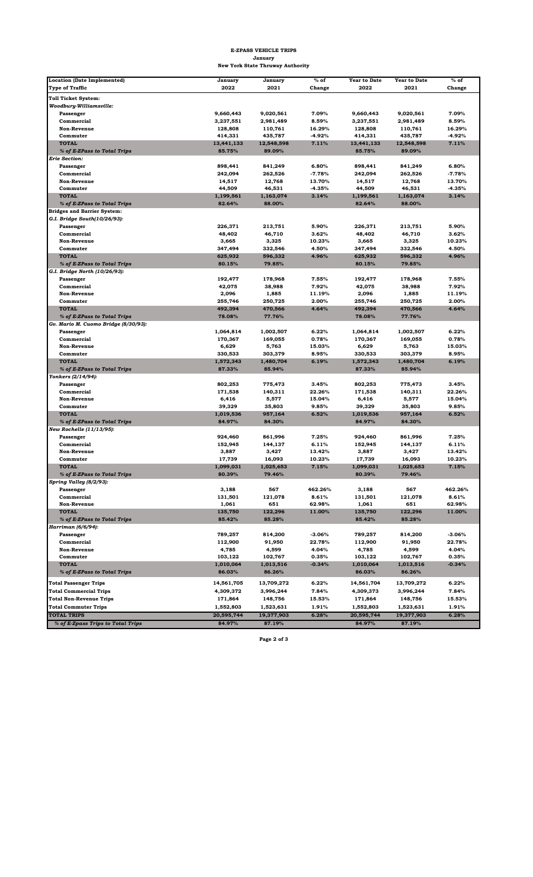| <b>Location (Date Implemented)</b>   | January    | January    | $%$ of   | <b>Year to Date</b> | <b>Year to Date</b> | $%$ of   |
|--------------------------------------|------------|------------|----------|---------------------|---------------------|----------|
| <b>Type of Traffic</b>               | 2022       | 2021       | Change   | 2022                | 2021                | Change   |
| <b>Toll Ticket System:</b>           |            |            |          |                     |                     |          |
| Woodbury-Williamsville:              |            |            |          |                     |                     |          |
| Passenger                            | 9,660,443  | 9,020,561  | 7.09%    | 9,660,443           | 9,020,561           | 7.09%    |
| Commercial                           | 3,237,551  | 2,981,489  | 8.59%    | 3,237,551           | 2,981,489           | 8.59%    |
| <b>Non-Revenue</b>                   | 128,808    | 110,761    | 16.29%   | 128,808             | 110,761             | 16.29%   |
| Commuter                             | 414,331    | 435,787    | $-4.92%$ | 414,331             | 435,787             | $-4.92%$ |
| <b>TOTAL</b>                         | 13,441,133 | 12,548,598 | 7.11%    | 13,441,133          | 12,548,598          | 7.11%    |
| % of E-ZPass to Total Trips          | 85.75%     | 89.09%     |          | 85.75%              | 89.09%              |          |
| <b>Erie Section:</b>                 |            |            |          |                     |                     |          |
| Passenger                            | 898,441    | 841,249    | 6.80%    | 898,441             | 841,249             | 6.80%    |
| Commercial                           | 242,094    | 262,526    | $-7.78%$ | 242,094             | 262,526             | $-7.78%$ |
| <b>Non-Revenue</b>                   | 14,517     | 12,768     | 13.70%   | 14,517              | 12,768              | 13.70%   |
| Commuter                             | 44,509     | 46,531     | $-4.35%$ | 44,509              | 46,531              | $-4.35%$ |
| <b>TOTAL</b>                         | 1,199,561  | 1,163,074  | 3.14%    | 1,199,561           | 1,163,074           | 3.14%    |
| % of E-ZPass to Total Trips          | 82.64%     | 88.00%     |          | 82.64%              | 88.00%              |          |
| <b>Bridges and Barrier System:</b>   |            |            |          |                     |                     |          |
| G.I. Bridge South(10/26/93):         |            |            |          |                     |                     |          |
| Passenger                            | 226,371    | 213,751    | 5.90%    | 226,371             | 213,751             | 5.90%    |
| Commercial                           | 48,402     | 46,710     | 3.62%    | 48,402              | 46,710              | 3.62%    |
| <b>Non-Revenue</b>                   | 3,665      | 3,325      | 10.23%   | 3,665               | 3,325               | 10.23%   |
| Commuter                             | 347,494    | 332,546    | 4.50%    | 347,494             | 332,546             | 4.50%    |
| <b>TOTAL</b>                         | 625,932    | 596,332    | 4.96%    | 625,932             | 596,332             | 4.96%    |
| % of E-ZPass to Total Trips          | 80.15%     | 79.85%     |          | 80.15%              | 79.85%              |          |
| G.I. Bridge North (10/26/93):        |            |            |          |                     |                     |          |
| Passenger                            | 192,477    | 178,968    | 7.55%    | 192,477             | 178,968             | 7.55%    |
| Commercial                           | 42,075     | 38,988     | 7.92%    | 42,075              | 38,988              | 7.92%    |
| <b>Non-Revenue</b>                   | 2,096      | 1,885      | 11.19%   | 2,096               | 1,885               | 11.19%   |
| Commuter                             | 255,746    | 250,725    | 2.00%    | 255,746             | 250,725             | 2.00%    |
| <b>TOTAL</b>                         | 492,394    | 470,566    | 4.64%    | 492,394             | 470,566             | 4.64%    |
| % of E-ZPass to Total Trips          | 78.08%     | 77.76%     |          | 78.08%              | 77.76%              |          |
| Gv. Mario M. Cuomo Bridge (8/30/93): |            |            |          |                     |                     |          |
| Passenger                            | 1,064,814  | 1,002,507  | 6.22%    | 1,064,814           | 1,002,507           | 6.22%    |
| Commercial                           | 170,367    | 169,055    | 0.78%    | 170,367             | 169,055             | 0.78%    |
| <b>Non-Revenue</b>                   | 6,629      | 5,763      | 15.03%   | 6,629               | 5,763               | 15.03%   |
| Commuter                             | 330,533    | 303,379    | 8.95%    | 330,533             | 303,379             | 8.95%    |
| <b>TOTAL</b>                         | 1,572,343  | 1,480,704  | 6.19%    | 1,572,343           | 1,480,704           | 6.19%    |
| % of E-ZPass to Total Trips          | 87.33%     | 85.94%     |          | 87.33%              | 85.94%              |          |
| Yonkers (2/14/94):                   |            |            |          |                     |                     |          |
| Passenger                            | 802,253    | 775,473    | 3.45%    | 802,253             | 775,473             | 3.45%    |
| Commercial                           | 171,538    | 140,311    | 22.26%   | 171,538             | 140,311             | 22.26%   |
| <b>Non-Revenue</b>                   | 6,416      | 5,577      | 15.04%   | 6,416               | 5,577               | 15.04%   |
| Commuter                             | 39,329     | 35,803     | 9.85%    | 39,329              | 35,803              | 9.85%    |
| <b>TOTAL</b>                         | 1,019,536  | 957,164    | 6.52%    | 1,019,536           | 957,164             | 6.52%    |
| % of E-ZPass to Total Trips          | 84.97%     | 84.30%     |          | 84.97%              | 84.30%              |          |
| New Rochelle (11/13/95):             |            |            |          |                     |                     |          |
| Passenger                            | 924,460    | 861,996    | 7.25%    | 924,460             | 861,996             | 7.25%    |
| Commercial                           | 152,945    | 144,137    | 6.11%    | 152,945             | 144,137             | 6.11%    |
| <b>Non-Revenue</b>                   | 3,887      | 3,427      | 13.42%   | 3,887               | 3,427               | 13.42%   |
| Commuter                             | 17,739     | 16,093     | 10.23%   | 17,739              | 16,093              | 10.23%   |
| <b>TOTAL</b>                         | 1,099,031  | 1,025,653  | 7.15%    | 1,099,031           | 1,025,653           | 7.15%    |
| % of E-ZPass to Total Trips          | 80.39%     | 79.46%     |          | 80.39%              | 79.46%              |          |
| Spring Valley (8/2/93):              |            |            |          |                     |                     |          |
| Passenger                            | 3,188      | 567        | 462.26%  | 3,188               | 567                 | 462.26%  |
| Commercial                           | 131,501    | 121,078    | 8.61%    | 131,501             | 121,078             | 8.61%    |
| <b>Non-Revenue</b>                   | 1,061      | 651        | 62.98%   | 1,061               | 651                 | 62.98%   |
| <b>TOTAL</b>                         | 135,750    | 122,296    | 11.00%   | 135,750             | 122,296             | 11.00%   |
| % of E-ZPass to Total Trips          | 85.42%     | 85.28%     |          | 85.42%              | 85.28%              |          |
| Harriman (6/6/94):                   |            |            |          |                     |                     |          |
| Passenger                            | 789,257    | 814,200    | $-3.06%$ | 789,257             | 814,200             | $-3.06%$ |
| Commercial                           | 112,900    | 91,950     | 22.78%   | 112,900             | 91,950              | 22.78%   |
| <b>Non-Revenue</b>                   | 4,785      | 4,599      | 4.04%    | 4,785               | 4,599               | 4.04%    |
| Commuter                             | 103,122    | 102,767    | 0.35%    | 103,122             | 102,767             | 0.35%    |
| <b>TOTAL</b>                         | 1,010,064  | 1,013,516  | $-0.34%$ | 1,010,064           | 1,013,516           | $-0.34%$ |
| % of E-ZPass to Total Trips          | 86.03%     | 86.26%     |          | 86.03%              | 86.26%              |          |
|                                      |            |            |          |                     |                     |          |
| <b>Total Passenger Trips</b>         | 14,561,705 | 13,709,272 | 6.22%    | 14,561,704          | 13,709,272          | 6.22%    |
| <b>Total Commercial Trips</b>        | 4,309,372  | 3,996,244  | 7.84%    | 4,309,373           | 3,996,244           | 7.84%    |
| <b>Total Non-Revenue Trips</b>       | 171,864    | 148,756    | 15.53%   | 171,864             | 148,756             | 15.53%   |
| <b>Total Commuter Trips</b>          | 1,552,803  | 1,523,631  | 1.91%    | 1,552,803           | 1,523,631           | 1.91%    |
| <b>TOTAL TRIPS</b>                   | 20,595,744 | 19,377,903 | 6.28%    | 20,595,744          | 19,377,903          | 6.28%    |
| % of E-Zpass Trips to Total Trips    | 84.97%     | 87.19%     |          | 84.97%              | 87.19%              |          |

**Page 2 of 3** 

## **E-ZPASS VEHICLE TRIPS January New York State Thruway Authority**